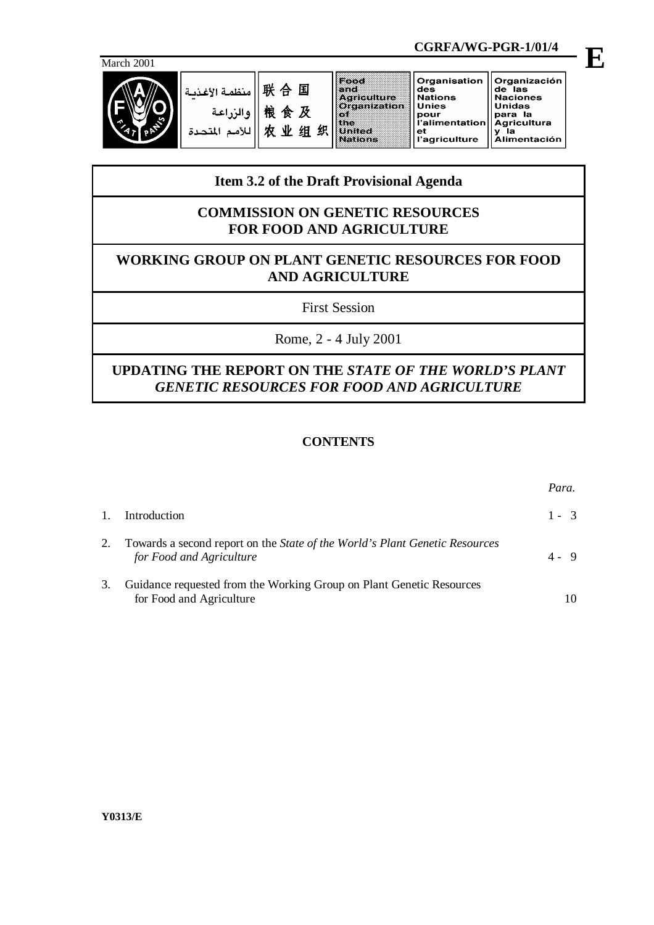

|            |                                             |                           |   |   | CGRFA/WG-PGR-1/01/4                                                                      |                                                                                                        |                                                                                                             |  |
|------------|---------------------------------------------|---------------------------|---|---|------------------------------------------------------------------------------------------|--------------------------------------------------------------------------------------------------------|-------------------------------------------------------------------------------------------------------------|--|
| March 2001 |                                             |                           |   |   |                                                                                          |                                                                                                        |                                                                                                             |  |
|            | منظمة الأغذمة<br>والزراعة<br>اللأمم المتحدة | 联合国<br>粮食及<br>NV.<br>ਾ ਅਤ | 组 | 织 | Food<br>and<br><b>Agriculture</b><br>Organization<br>st ne:<br>s anter<br><b>Nations</b> | Organisation<br>des<br><b>Nations</b><br><b>Unies</b><br>pour<br>l'alimentation<br>еt<br>l'agriculture | Organización<br>de las<br><b>Naciones</b><br><b>Unidas</b><br>para la<br><b>Agricultura</b><br>Alimentación |  |

# **Item 3.2 of the Draft Provisional Agenda**

## **COMMISSION ON GENETIC RESOURCES FOR FOOD AND AGRICULTURE**

# **WORKING GROUP ON PLANT GENETIC RESOURCES FOR FOOD AND AGRICULTURE**

First Session

Rome, 2 - 4 July 2001

# **UPDATING THE REPORT ON THE** *STATE OF THE WORLD'S PLANT GENETIC RESOURCES FOR FOOD AND AGRICULTURE*

## **CONTENTS**

|                                                                                                                | Para.   |
|----------------------------------------------------------------------------------------------------------------|---------|
| Introduction                                                                                                   | $1 - 3$ |
| Towards a second report on the <i>State of the World's Plant Genetic Resources</i><br>for Food and Agriculture | 4 - 9   |
| Guidance requested from the Working Group on Plant Genetic Resources<br>for Food and Agriculture               |         |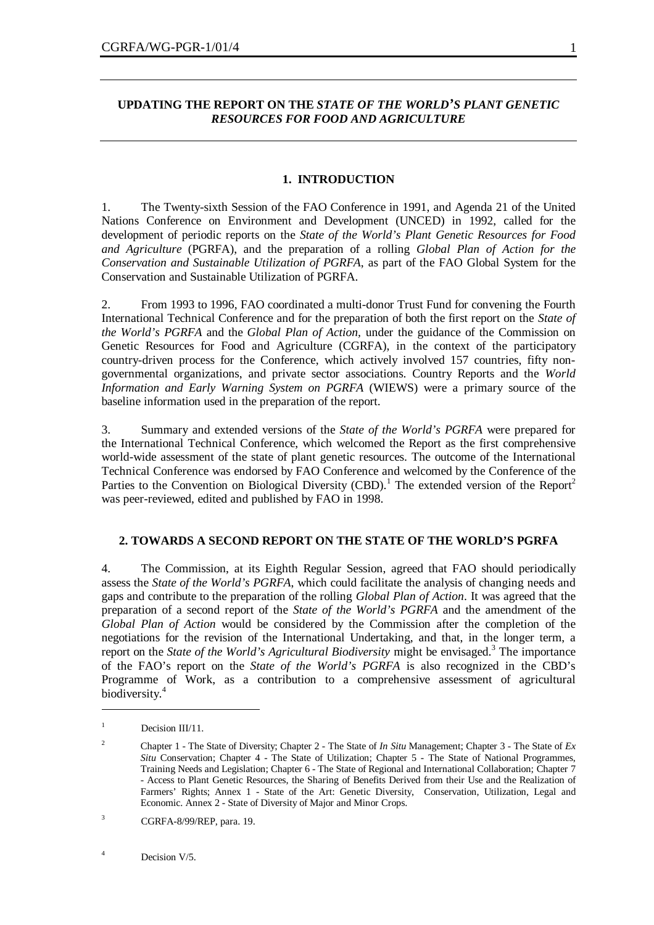### **UPDATING THE REPORT ON THE** *STATE OF THE WORLD'S PLANT GENETIC RESOURCES FOR FOOD AND AGRICULTURE*

#### **1. INTRODUCTION**

1. The Twenty-sixth Session of the FAO Conference in 1991, and Agenda 21 of the United Nations Conference on Environment and Development (UNCED) in 1992, called for the development of periodic reports on the *State of the World's Plant Genetic Resources for Food and Agriculture* (PGRFA), and the preparation of a rolling *Global Plan of Action for the Conservation and Sustainable Utilization of PGRFA*, as part of the FAO Global System for the Conservation and Sustainable Utilization of PGRFA.

2. From 1993 to 1996, FAO coordinated a multi-donor Trust Fund for convening the Fourth International Technical Conference and for the preparation of both the first report on the *State of the World's PGRFA* and the *Global Plan of Action,* under the guidance of the Commission on Genetic Resources for Food and Agriculture (CGRFA), in the context of the participatory country-driven process for the Conference, which actively involved 157 countries, fifty nongovernmental organizations, and private sector associations. Country Reports and the *World Information and Early Warning System on PGRFA* (WIEWS) were a primary source of the baseline information used in the preparation of the report.

3. Summary and extended versions of the *State of the World's PGRFA* were prepared for the International Technical Conference, which welcomed the Report as the first comprehensive world-wide assessment of the state of plant genetic resources. The outcome of the International Technical Conference was endorsed by FAO Conference and welcomed by the Conference of the Parties to the Convention on Biological Diversity (CBD).<sup>1</sup> The extended version of the Report<sup>2</sup> was peer-reviewed, edited and published by FAO in 1998.

### **2. TOWARDS A SECOND REPORT ON THE STATE OF THE WORLD'S PGRFA**

4. The Commission, at its Eighth Regular Session, agreed that FAO should periodically assess the *State of the World's PGRFA*, which could facilitate the analysis of changing needs and gaps and contribute to the preparation of the rolling *Global Plan of Action*. It was agreed that the preparation of a second report of the *State of the World's PGRFA* and the amendment of the *Global Plan of Action* would be considered by the Commission after the completion of the negotiations for the revision of the International Undertaking, and that, in the longer term, a report on the *State of the World's Agricultural Biodiversity* might be envisaged.<sup>3</sup> The importance of the FAO's report on the *State of the World's PGRFA* is also recognized in the CBD's Programme of Work, as a contribution to a comprehensive assessment of agricultural biodiversity.<sup>4</sup>

 $\overline{a}$ 

<sup>&</sup>lt;sup>1</sup> Decision III/11.

<sup>2</sup> Chapter 1 - The State of Diversity; Chapter 2 - The State of *In Situ* Management; Chapter 3 - The State of *Ex Situ* Conservation; Chapter 4 - The State of Utilization; Chapter 5 - The State of National Programmes, Training Needs and Legislation; Chapter 6 - The State of Regional and International Collaboration; Chapter 7 - Access to Plant Genetic Resources, the Sharing of Benefits Derived from their Use and the Realization of Farmers' Rights; Annex 1 - State of the Art: Genetic Diversity, Conservation, Utilization, Legal and Economic. Annex 2 - State of Diversity of Major and Minor Crops.

<sup>3</sup> CGRFA-8/99/REP, para. 19.

<sup>&</sup>lt;sup>4</sup> Decision V/5.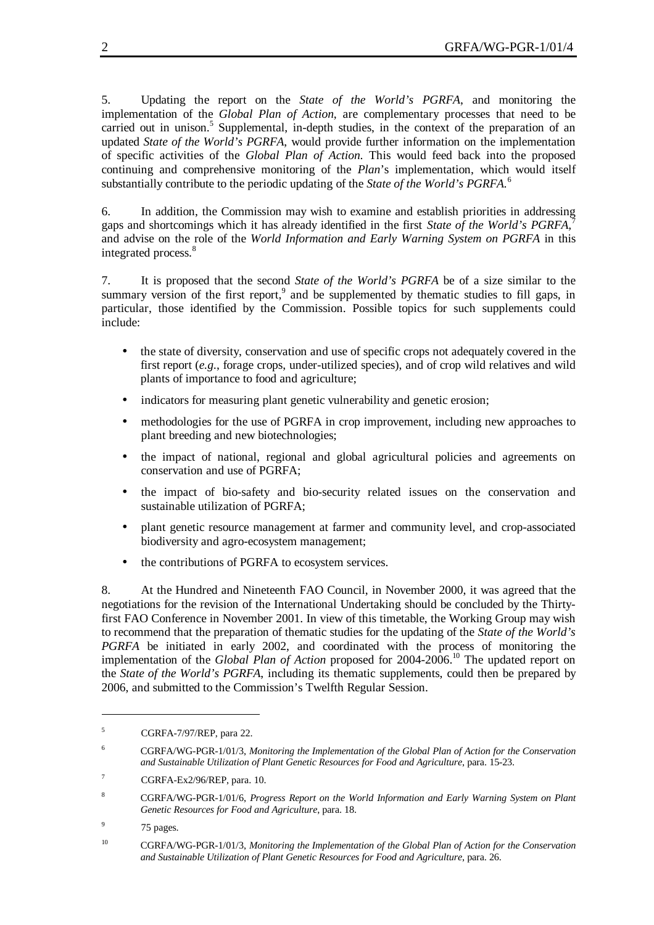5. Updating the report on the *State of the World's PGRFA*, and monitoring the implementation of the *Global Plan of Action*, are complementary processes that need to be carried out in unison.<sup>5</sup> Supplemental, in-depth studies, in the context of the preparation of an updated *State of the World's PGRFA*, would provide further information on the implementation of specific activities of the *Global Plan of Action*. This would feed back into the proposed continuing and comprehensive monitoring of the *Plan*'s implementation, which would itself substantially contribute to the periodic updating of the *State of the World's PGRFA.*<sup>6</sup>

6. In addition, the Commission may wish to examine and establish priorities in addressing gaps and shortcomings which it has already identified in the first *State of the World's PGRFA,*<sup>7</sup> and advise on the role of the *World Information and Early Warning System on PGRFA* in this integrated process.<sup>8</sup>

7. It is proposed that the second *State of the World's PGRFA* be of a size similar to the summary version of the first report,  $9$  and be supplemented by thematic studies to fill gaps, in particular, those identified by the Commission. Possible topics for such supplements could include:

- the state of diversity, conservation and use of specific crops not adequately covered in the first report (*e.g.*, forage crops, under-utilized species), and of crop wild relatives and wild plants of importance to food and agriculture;
- indicators for measuring plant genetic vulnerability and genetic erosion;
- methodologies for the use of PGRFA in crop improvement, including new approaches to plant breeding and new biotechnologies;
- the impact of national, regional and global agricultural policies and agreements on conservation and use of PGRFA;
- the impact of bio-safety and bio-security related issues on the conservation and sustainable utilization of PGRFA;
- plant genetic resource management at farmer and community level, and crop-associated biodiversity and agro-ecosystem management;
- the contributions of PGRFA to ecosystem services.

8. At the Hundred and Nineteenth FAO Council, in November 2000, it was agreed that the negotiations for the revision of the International Undertaking should be concluded by the Thirtyfirst FAO Conference in November 2001. In view of this timetable, the Working Group may wish to recommend that the preparation of thematic studies for the updating of the *State of the World's PGRFA* be initiated in early 2002, and coordinated with the process of monitoring the implementation of the *Global Plan of Action* proposed for 2004-2006.<sup>10</sup> The updated report on the *State of the World's PGRFA*, including its thematic supplements, could then be prepared by 2006, and submitted to the Commission's Twelfth Regular Session.

9 75 pages.

 $\overline{a}$ 

 $5$  CGRFA-7/97/REP, para 22.

<sup>6</sup> CGRFA/WG-PGR-1/01/3, *Monitoring the Implementation of the Global Plan of Action for the Conservation and Sustainable Utilization of Plant Genetic Resources for Food and Agriculture*, para. 15-23.

<sup>&</sup>lt;sup>7</sup> CGRFA-Ex $2/96$ /REP, para. 10.

<sup>8</sup> CGRFA/WG-PGR-1/01/6, *Progress Report on the World Information and Early Warning System on Plant Genetic Resources for Food and Agriculture*, para. 18.

<sup>10</sup> CGRFA/WG-PGR-1/01/3, *Monitoring the Implementation of the Global Plan of Action for the Conservation and Sustainable Utilization of Plant Genetic Resources for Food and Agriculture*, para. 26.